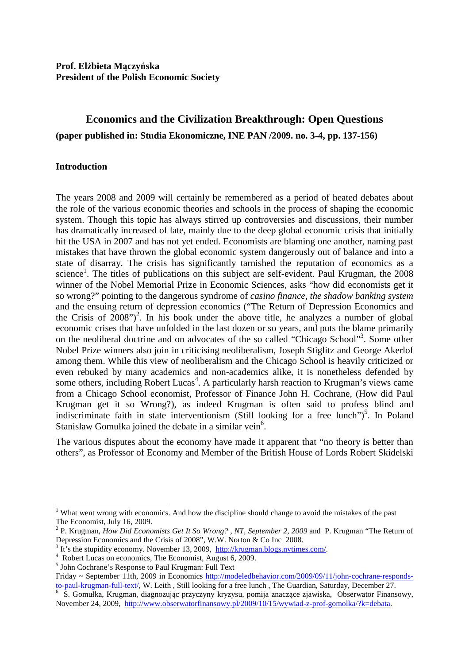# **Economics and the Civilization Breakthrough: Open Questions (paper published in: Studia Ekonomiczne, INE PAN /2009. no. 3-4, pp. 137-156)**

### **Introduction**

The years 2008 and 2009 will certainly be remembered as a period of heated debates about the role of the various economic theories and schools in the process of shaping the economic system. Though this topic has always stirred up controversies and discussions, their number has dramatically increased of late, mainly due to the deep global economic crisis that initially hit the USA in 2007 and has not yet ended. Economists are blaming one another, naming past mistakes that have thrown the global economic system dangerously out of balance and into a state of disarray. The crisis has significantly tarnished the reputation of economics as a science<sup>1</sup>. The titles of publications on this subject are self-evident. Paul Krugman, the 2008 winner of the Nobel Memorial Prize in Economic Sciences, asks "how did economists get it so wrong?" pointing to the dangerous syndrome of *casino finance, the shadow banking system* and the ensuing return of depression economics ("The Return of Depression Economics and the Crisis of  $2008$ ")<sup>2</sup>. In his book under the above title, he analyzes a number of global economic crises that have unfolded in the last dozen or so years, and puts the blame primarily on the neoliberal doctrine and on advocates of the so called "Chicago School"<sup>3</sup>. Some other Nobel Prize winners also join in criticising neoliberalism, Joseph Stiglitz and George Akerlof among them. While this view of neoliberalism and the Chicago School is heavily criticized or even rebuked by many academics and non-academics alike, it is nonetheless defended by some others, including Robert Lucas<sup>4</sup>. A particularly harsh reaction to Krugman's views came from a Chicago School economist, Professor of Finance John H. Cochrane, (How did Paul Krugman get it so Wrong?), as indeed Krugman is often said to profess blind and indiscriminate faith in state interventionism (Still looking for a free lunch")<sup>5</sup>. In Poland Stanisław Gomułka joined the debate in a similar vein<sup>6</sup>.

The various disputes about the economy have made it apparent that "no theory is better than others", as Professor of Economy and Member of the British House of Lords Robert Skidelski

<sup>&</sup>lt;sup>1</sup> What went wrong with economics. And how the discipline should change to avoid the mistakes of the past The Economist, July 16, 2009.

<sup>&</sup>lt;sup>2</sup> P. Krugman, *How Did Economists Get It So Wrong?*, *NT*, *September 2, 2009* and P. Krugman "The Return of Depression Economics and the Crisis of 2008", W.W. Norton & Co Inc 2008.

 $3$  It's the stupidity economy. November 13, 2009, http://krugman.blogs.nytimes.com/.

<sup>4</sup> Robert Lucas on economics, The Economist, August 6, 2009.

<sup>5</sup> John Cochrane's Response to Paul Krugman: Full Text

Friday ~ September 11th, 2009 in Economics http://modeledbehavior.com/2009/09/11/john-cochrane-respondsto-paul-krugman-full-text/, W. Leith , Still looking for a free lunch , The Guardian, Saturday, December 27.

<sup>6</sup> S. Gomułka, Krugman, diagnozując przyczyny kryzysu, pomija znaczące zjawiska, Obserwator Finansowy, November 24, 2009, http://www.obserwatorfinansowy.pl/2009/10/15/wywiad-z-prof-gomolka/?k=debata.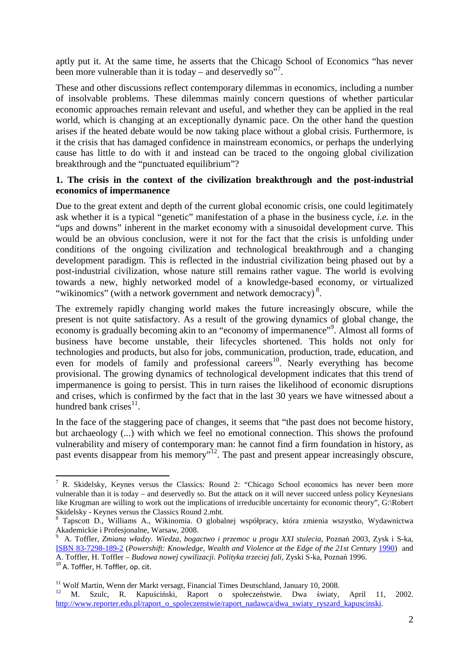aptly put it. At the same time, he asserts that the Chicago School of Economics "has never been more vulnerable than it is today – and deservedly so"?.

These and other discussions reflect contemporary dilemmas in economics, including a number of insolvable problems. These dilemmas mainly concern questions of whether particular economic approaches remain relevant and useful, and whether they can be applied in the real world, which is changing at an exceptionally dynamic pace. On the other hand the question arises if the heated debate would be now taking place without a global crisis. Furthermore, is it the crisis that has damaged confidence in mainstream economics, or perhaps the underlying cause has little to do with it and instead can be traced to the ongoing global civilization breakthrough and the "punctuated equilibrium"?

## **1. The crisis in the context of the civilization breakthrough and the post-industrial economics of impermanence**

Due to the great extent and depth of the current global economic crisis, one could legitimately ask whether it is a typical "genetic" manifestation of a phase in the business cycle, *i.e.* in the "ups and downs" inherent in the market economy with a sinusoidal development curve. This would be an obvious conclusion, were it not for the fact that the crisis is unfolding under conditions of the ongoing civilization and technological breakthrough and a changing development paradigm. This is reflected in the industrial civilization being phased out by a post-industrial civilization, whose nature still remains rather vague. The world is evolving towards a new, highly networked model of a knowledge-based economy, or virtualized "wikinomics" (with a network government and network democracy)<sup>8</sup>.

The extremely rapidly changing world makes the future increasingly obscure, while the present is not quite satisfactory. As a result of the growing dynamics of global change, the economy is gradually becoming akin to an "economy of impermanence"<sup>9</sup>. Almost all forms of business have become unstable, their lifecycles shortened. This holds not only for technologies and products, but also for jobs, communication, production, trade, education, and even for models of family and professional careers<sup>10</sup>. Nearly everything has become provisional. The growing dynamics of technological development indicates that this trend of impermanence is going to persist. This in turn raises the likelihood of economic disruptions and crises, which is confirmed by the fact that in the last 30 years we have witnessed about a hundred bank crises $^{11}$ .

In the face of the staggering pace of changes, it seems that "the past does not become history, but archaeology (...) with which we feel no emotional connection. This shows the profound vulnerability and misery of contemporary man: he cannot find a firm foundation in history, as past events disappear from his memory<sup>"12</sup>. The past and present appear increasingly obscure,

 $\overline{\phantom{a}}$ 

<sup>&</sup>lt;sup>7</sup> R. Skidelsky, Keynes versus the Classics: Round 2: "Chicago School economics has never been more vulnerable than it is today – and deservedly so. But the attack on it will never succeed unless policy Keynesians like Krugman are willing to work out the implications of irreducible uncertainty for economic theory", G:\Robert Skidelsky - Keynes versus the Classics Round 2.mht.

<sup>8</sup> Tapscott D., Williams A., Wikinomia. O globalnej współpracy, która zmienia wszystko, Wydawnictwa Akademickie i Profesjonalne, Warsaw, 2008.

<sup>9</sup> A. Toffler, *Zmiana władzy. Wiedza, bogactwo i przemoc u progu XXI stulecia*, Poznań 2003, Zysk i S-ka, ISBN 83-7298-189-2 (*Powershift: Knowledge, Wealth and Violence at the Edge of the 21st Century* 1990) and A. Toffler, H. Toffler – *Budowa nowej cywilizacji. Polityka trzeciej fali,* Zyski S-ka, Poznań 1996.

<sup>&</sup>lt;sup>10</sup> A. Toffler, H. Toffler, op. cit.

<sup>&</sup>lt;sup>11</sup> Wolf Martin, Wenn der Markt versagt, Financial Times Deutschland, January 10, 2008.

<sup>12</sup> M. Szulc, R. Kapuściński, Raport o społeczeństwie. Dwa światy, April 11, 2002. http://www.reporter.edu.pl/raport\_o\_spoleczenstwie/raport\_nadawca/dwa\_swiaty\_ryszard\_kapuscinski.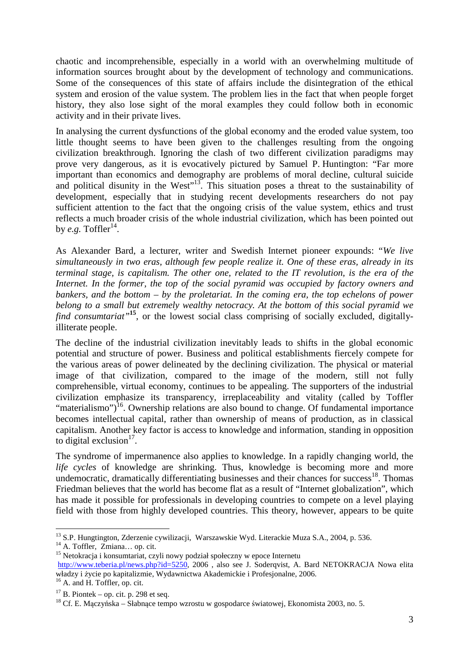chaotic and incomprehensible, especially in a world with an overwhelming multitude of information sources brought about by the development of technology and communications. Some of the consequences of this state of affairs include the disintegration of the ethical system and erosion of the value system. The problem lies in the fact that when people forget history, they also lose sight of the moral examples they could follow both in economic activity and in their private lives.

In analysing the current dysfunctions of the global economy and the eroded value system, too little thought seems to have been given to the challenges resulting from the ongoing civilization breakthrough. Ignoring the clash of two different civilization paradigms may prove very dangerous, as it is evocatively pictured by Samuel P. Huntington: "Far more important than economics and demography are problems of moral decline, cultural suicide and political disunity in the West<sup>"13</sup>. This situation poses a threat to the sustainability of development, especially that in studying recent developments researchers do not pay sufficient attention to the fact that the ongoing crisis of the value system, ethics and trust reflects a much broader crisis of the whole industrial civilization, which has been pointed out by *e.g.* Toffler<sup>14</sup>.

As Alexander Bard, a lecturer, writer and Swedish Internet pioneer expounds: "*We live simultaneously in two eras, although few people realize it. One of these eras, already in its terminal stage, is capitalism. The other one, related to the IT revolution, is the era of the Internet. In the former, the top of the social pyramid was occupied by factory owners and bankers, and the bottom – by the proletariat. In the coming era, the top echelons of power belong to a small but extremely wealthy netocracy. At the bottom of this social pyramid we find consumtariat"***<sup>15</sup>**, or the lowest social class comprising of socially excluded, digitallyilliterate people.

The decline of the industrial civilization inevitably leads to shifts in the global economic potential and structure of power. Business and political establishments fiercely compete for the various areas of power delineated by the declining civilization. The physical or material image of that civilization, compared to the image of the modern, still not fully comprehensible, virtual economy, continues to be appealing. The supporters of the industrial civilization emphasize its transparency, irreplaceability and vitality (called by Toffler "materialismo")<sup>16</sup>. Ownership relations are also bound to change. Of fundamental importance becomes intellectual capital, rather than ownership of means of production, as in classical capitalism. Another key factor is access to knowledge and information, standing in opposition to digital exclusion $17$ .

The syndrome of impermanence also applies to knowledge. In a rapidly changing world, the *life cycles* of knowledge are shrinking. Thus, knowledge is becoming more and more undemocratic, dramatically differentiating businesses and their chances for success<sup>18</sup>. Thomas Friedman believes that the world has become flat as a result of "Internet globalization", which has made it possible for professionals in developing countries to compete on a level playing field with those from highly developed countries. This theory, however, appears to be quite

 $\overline{\phantom{a}}$ 

<sup>&</sup>lt;sup>13</sup> S.P. Hungtington, Zderzenie cywilizacji, Warszawskie Wyd. Literackie Muza S.A., 2004, p. 536.

<sup>14</sup> A. Toffler, Zmiana… op. cit.

<sup>&</sup>lt;sup>15</sup> Netokracja i konsumtariat, czyli nowy podział społeczny w epoce Internetu

http://www.teberia.pl/news.php?id=5250, 2006, also see J. Soderqvist, A. Bard NETOKRACJA Nowa elita władzy i życie po kapitalizmie, Wydawnictwa Akademickie i Profesjonalne, 2006.

<sup>&</sup>lt;sup>16</sup> A. and H. Toffler, op. cit.

 $17$  B. Piontek – op. cit. p. 298 et seq.

<sup>&</sup>lt;sup>18</sup> Cf. E. Maczyńska – Słabnące tempo wzrostu w gospodarce światowej, Ekonomista 2003, no. 5.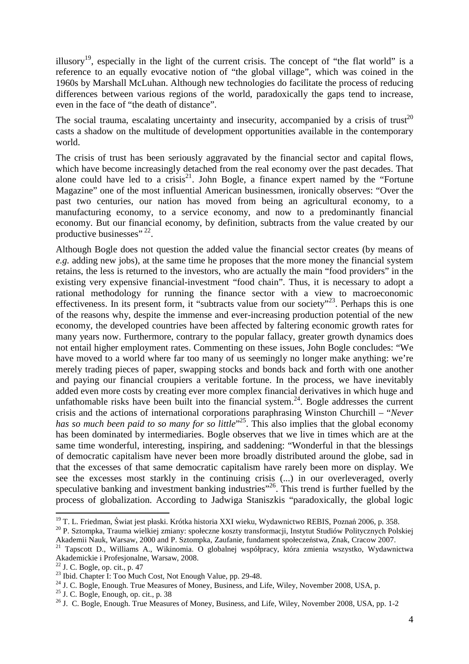illusory<sup>19</sup>, especially in the light of the current crisis. The concept of "the flat world" is a reference to an equally evocative notion of "the global village", which was coined in the 1960s by Marshall McLuhan. Although new technologies do facilitate the process of reducing differences between various regions of the world, paradoxically the gaps tend to increase, even in the face of "the death of distance".

The social trauma, escalating uncertainty and insecurity, accompanied by a crisis of trust<sup>20</sup> casts a shadow on the multitude of development opportunities available in the contemporary world.

The crisis of trust has been seriously aggravated by the financial sector and capital flows, which have become increasingly detached from the real economy over the past decades. That alone could have led to a crisis<sup>21</sup>. John Bogle, a finance expert named by the "Fortune" Magazine" one of the most influential American businessmen, ironically observes: "Over the past two centuries, our nation has moved from being an agricultural economy, to a manufacturing economy, to a service economy, and now to a predominantly financial economy. But our financial economy, by definition, subtracts from the value created by our productive businesses"<sup>22</sup>.

Although Bogle does not question the added value the financial sector creates (by means of *e.g.* adding new jobs), at the same time he proposes that the more money the financial system retains, the less is returned to the investors, who are actually the main "food providers" in the existing very expensive financial-investment "food chain". Thus, it is necessary to adopt a rational methodology for running the finance sector with a view to macroeconomic effectiveness. In its present form, it "subtracts value from our society"<sup>23</sup>. Perhaps this is one of the reasons why, despite the immense and ever-increasing production potential of the new economy, the developed countries have been affected by faltering economic growth rates for many years now. Furthermore, contrary to the popular fallacy, greater growth dynamics does not entail higher employment rates. Commenting on these issues, John Bogle concludes: "We have moved to a world where far too many of us seemingly no longer make anything: we're merely trading pieces of paper, swapping stocks and bonds back and forth with one another and paying our financial croupiers a veritable fortune. In the process, we have inevitably added even more costs by creating ever more complex financial derivatives in which huge and unfathomable risks have been built into the financial system.<sup>24</sup>. Bogle addresses the current crisis and the actions of international corporations paraphrasing Winston Churchill – "*Never*  has so much been paid to so many for so little<sup>"25</sup>. This also implies that the global economy has been dominated by intermediaries. Bogle observes that we live in times which are at the same time wonderful, interesting, inspiring, and saddening: "Wonderful in that the blessings of democratic capitalism have never been more broadly distributed around the globe, sad in that the excesses of that same democratic capitalism have rarely been more on display. We see the excesses most starkly in the continuing crisis (...) in our overleveraged, overly speculative banking and investment banking industries<sup>"26</sup>. This trend is further fuelled by the process of globalization. According to Jadwiga Staniszkis "paradoxically, the global logic

<sup>&</sup>lt;sup>19</sup> T. L. Friedman, Świat jest płaski. Krótka historia XXI wieku, Wydawnictwo REBIS, Poznań 2006, p. 358.

<sup>20</sup> P. Sztompka, Trauma wielkiej zmiany: społeczne koszty transformacji, Instytut Studiów Politycznych Polskiej Akademii Nauk, Warsaw, 2000 and P. Sztompka, Zaufanie, fundament społeczeństwa, Znak, Cracow 2007.

<sup>21</sup> Tapscott D., Williams A., Wikinomia. O globalnej współpracy, która zmienia wszystko, Wydawnictwa Akademickie i Profesjonalne, Warsaw, 2008.

 $22$  J. C. Bogle, op. cit., p. 47

<sup>&</sup>lt;sup>23</sup> Ibid. Chapter I: Too Much Cost, Not Enough Value, pp. 29-48.

<sup>&</sup>lt;sup>24</sup> J. C. Bogle, Enough. True Measures of Money, Business, and Life, Wiley, November 2008, USA, p.

<sup>25</sup> J. C. Bogle, Enough, op. cit., p. 38

<sup>&</sup>lt;sup>26</sup> J. C. Bogle, Enough. True Measures of Money, Business, and Life, Wiley, November 2008, USA, pp. 1-2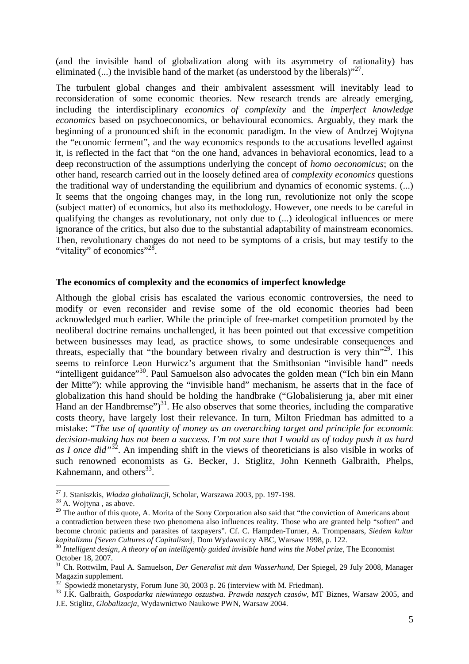(and the invisible hand of globalization along with its asymmetry of rationality) has eliminated  $(...)$  the invisible hand of the market (as understood by the liberals) $"^{27}$ .

The turbulent global changes and their ambivalent assessment will inevitably lead to reconsideration of some economic theories. New research trends are already emerging, including the interdisciplinary *economics of complexity* and the *imperfect knowledge economics* based on psychoeconomics, or behavioural economics. Arguably, they mark the beginning of a pronounced shift in the economic paradigm. In the view of Andrzej Wojtyna the "economic ferment", and the way economics responds to the accusations levelled against it, is reflected in the fact that "on the one hand, advances in behavioral economics, lead to a deep reconstruction of the assumptions underlying the concept of *homo oeconomicus*; on the other hand, research carried out in the loosely defined area of *complexity economics* questions the traditional way of understanding the equilibrium and dynamics of economic systems. (...) It seems that the ongoing changes may, in the long run, revolutionize not only the scope (subject matter) of economics, but also its methodology. However, one needs to be careful in qualifying the changes as revolutionary, not only due to (...) ideological influences or mere ignorance of the critics, but also due to the substantial adaptability of mainstream economics. Then, revolutionary changes do not need to be symptoms of a crisis, but may testify to the "vitality" of economics"<sup>28</sup>.

#### **The economics of complexity and the economics of imperfect knowledge**

Although the global crisis has escalated the various economic controversies, the need to modify or even reconsider and revise some of the old economic theories had been acknowledged much earlier. While the principle of free-market competition promoted by the neoliberal doctrine remains unchallenged, it has been pointed out that excessive competition between businesses may lead, as practice shows, to some undesirable consequences and threats, especially that "the boundary between rivalry and destruction is very thin"<sup>29</sup>. This seems to reinforce Leon Hurwicz's argument that the Smithsonian "invisible hand" needs "intelligent guidance"<sup>30</sup>. Paul Samuelson also advocates the golden mean ("Ich bin ein Mann der Mitte"): while approving the "invisible hand" mechanism, he asserts that in the face of globalization this hand should be holding the handbrake ("Globalisierung ja, aber mit einer Hand an der Handbremse")<sup>31</sup>. He also observes that some theories, including the comparative costs theory, have largely lost their relevance. In turn, Milton Friedman has admitted to a mistake: "*The use of quantity of money as an overarching target and principle for economic decision-making has not been a success. I'm not sure that I would as of today push it as hard as I once did"*<sup>32</sup>. An impending shift in the views of theoreticians is also visible in works of such renowned economists as G. Becker, J. Stiglitz, John Kenneth Galbraith, Phelps, Kahnemann, and others $^{33}$ .

<sup>27</sup> J. Staniszkis, *Władza globalizacji*, Scholar, Warszawa 2003, pp. 197-198.

 $28$  A. Wojtyna, as above.

<sup>&</sup>lt;sup>29</sup> The author of this quote, A. Morita of the Sony Corporation also said that "the conviction of Americans about a contradiction between these two phenomena also influences reality. Those who are granted help "soften" and become chronic patients and parasites of taxpayers". Cf. C. Hampden-Turner, A. Trompenaars, *Siedem kultur kapitalizmu [Seven Cultures of Capitalism]*, Dom Wydawniczy ABC, Warsaw 1998, p. 122.

<sup>&</sup>lt;sup>30</sup> Intelligent design, A theory of an intelligently guided invisible hand wins the Nobel prize, The Economist October 18, 2007.

<sup>31</sup> Ch. Rottwilm, Paul A. Samuelson, *Der Generalist mit dem Wasserhund*, Der Spiegel, 29 July 2008, Manager Magazin supplement.

 $\frac{32}{2}$  Spowiedź monetarysty, Forum June 30, 2003 p. 26 (interview with M. Friedman).

<sup>33</sup> J.K. Galbraith, *Gospodarka niewinnego oszustwa. Prawda naszych czasów*, MT Biznes, Warsaw 2005, and J.E. Stiglitz, *Globalizacja*, Wydawnictwo Naukowe PWN, Warsaw 2004.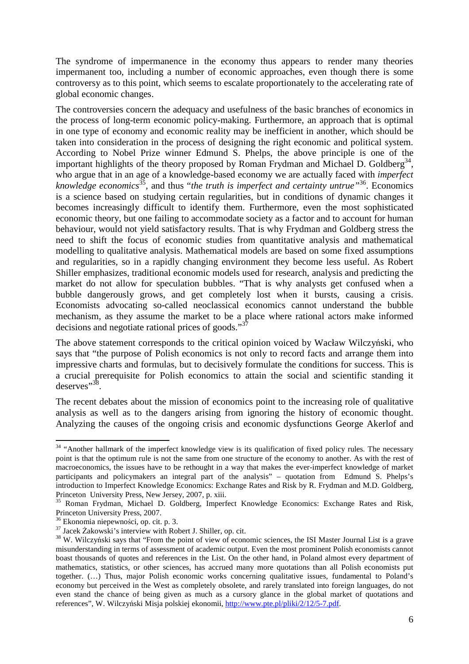The syndrome of impermanence in the economy thus appears to render many theories impermanent too, including a number of economic approaches, even though there is some controversy as to this point, which seems to escalate proportionately to the accelerating rate of global economic changes.

The controversies concern the adequacy and usefulness of the basic branches of economics in the process of long-term economic policy-making. Furthermore, an approach that is optimal in one type of economy and economic reality may be inefficient in another, which should be taken into consideration in the process of designing the right economic and political system. According to Nobel Prize winner Edmund S. Phelps, the above principle is one of the important highlights of the theory proposed by Roman Frydman and Michael D. Goldberg<sup>34</sup>, who argue that in an age of a knowledge-based economy we are actually faced with *imperfect knowledge economics*<sup>35</sup>, and thus "*the truth is imperfect and certainty untrue"*<sup>36</sup>. Economics is a science based on studying certain regularities, but in conditions of dynamic changes it becomes increasingly difficult to identify them. Furthermore, even the most sophisticated economic theory, but one failing to accommodate society as a factor and to account for human behaviour, would not yield satisfactory results. That is why Frydman and Goldberg stress the need to shift the focus of economic studies from quantitative analysis and mathematical modelling to qualitative analysis. Mathematical models are based on some fixed assumptions and regularities, so in a rapidly changing environment they become less useful. As Robert Shiller emphasizes, traditional economic models used for research, analysis and predicting the market do not allow for speculation bubbles. "That is why analysts get confused when a bubble dangerously grows, and get completely lost when it bursts, causing a crisis. Economists advocating so-called neoclassical economics cannot understand the bubble mechanism, as they assume the market to be a place where rational actors make informed decisions and negotiate rational prices of goods."<sup>37</sup>

The above statement corresponds to the critical opinion voiced by Wacław Wilczyński, who says that "the purpose of Polish economics is not only to record facts and arrange them into impressive charts and formulas, but to decisively formulate the conditions for success. This is a crucial prerequisite for Polish economics to attain the social and scientific standing it deserves"<sup>38</sup>.

The recent debates about the mission of economics point to the increasing role of qualitative analysis as well as to the dangers arising from ignoring the history of economic thought. Analyzing the causes of the ongoing crisis and economic dysfunctions George Akerlof and

<sup>&</sup>lt;sup>34</sup> "Another hallmark of the imperfect knowledge view is its qualification of fixed policy rules. The necessary point is that the optimum rule is not the same from one structure of the economy to another. As with the rest of macroeconomics, the issues have to be rethought in a way that makes the ever-imperfect knowledge of market participants and policymakers an integral part of the analysis" – quotation from Edmund S. Phelps's introduction to Imperfect Knowledge Economics: Exchange Rates and Risk by R. Frydman and M.D. Goldberg, Princeton University Press, New Jersey, 2007, p. xiii.

<sup>35</sup> Roman Frydman, Michael D. Goldberg, Imperfect Knowledge Economics: Exchange Rates and Risk, Princeton University Press, 2007.

<sup>36</sup> Ekonomia niepewności, op. cit. p. 3.

<sup>&</sup>lt;sup>37</sup> Jacek Żakowski's interview with Robert J. Shiller, op. cit.

<sup>&</sup>lt;sup>38</sup> W. Wilczyński says that "From the point of view of economic sciences, the ISI Master Journal List is a grave misunderstanding in terms of assessment of academic output. Even the most prominent Polish economists cannot boast thousands of quotes and references in the List. On the other hand, in Poland almost every department of mathematics, statistics, or other sciences, has accrued many more quotations than all Polish economists put together. (…) Thus, major Polish economic works concerning qualitative issues, fundamental to Poland's economy but perceived in the West as completely obsolete, and rarely translated into foreign languages, do not even stand the chance of being given as much as a cursory glance in the global market of quotations and references", W. Wilczyński Misja polskiej ekonomii, http://www.pte.pl/pliki/2/12/5-7.pdf.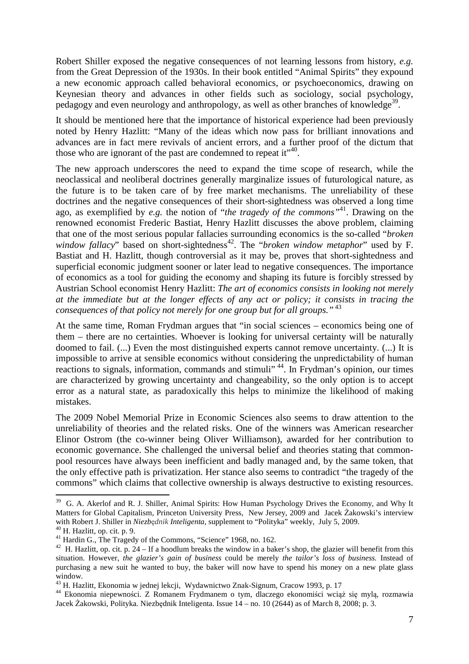Robert Shiller exposed the negative consequences of not learning lessons from history, *e.g.* from the Great Depression of the 1930s. In their book entitled "Animal Spirits" they expound a new economic approach called behavioral economics, or psychoeconomics, drawing on Keynesian theory and advances in other fields such as sociology, social psychology, pedagogy and even neurology and anthropology, as well as other branches of knowledge<sup>39</sup>.

It should be mentioned here that the importance of historical experience had been previously noted by Henry Hazlitt: "Many of the ideas which now pass for brilliant innovations and advances are in fact mere revivals of ancient errors, and a further proof of the dictum that those who are ignorant of the past are condemned to repeat it"<sup>40</sup>.

The new approach underscores the need to expand the time scope of research, while the neoclassical and neoliberal doctrines generally marginalize issues of futurological nature, as the future is to be taken care of by free market mechanisms. The unreliability of these doctrines and the negative consequences of their short-sightedness was observed a long time ago, as exemplified by *e.g.* the notion of "*the tragedy of the commons"*<sup>41</sup>. Drawing on the renowned economist Frederic Bastiat, Henry Hazlitt discusses the above problem, claiming that one of the most serious popular fallacies surrounding economics is the so-called "*broken*  window fallacy" based on short-sightedness<sup>42</sup>. The "*broken window metaphor*" used by F. Bastiat and H. Hazlitt, though controversial as it may be, proves that short-sightedness and superficial economic judgment sooner or later lead to negative consequences. The importance of economics as a tool for guiding the economy and shaping its future is forcibly stressed by Austrian School economist Henry Hazlitt: *The art of economics consists in looking not merely at the immediate but at the longer effects of any act or policy; it consists in tracing the consequences of that policy not merely for one group but for all groups."*<sup>43</sup>

At the same time, Roman Frydman argues that "in social sciences – economics being one of them – there are no certainties. Whoever is looking for universal certainty will be naturally doomed to fail. (...) Even the most distinguished experts cannot remove uncertainty. (...) It is impossible to arrive at sensible economics without considering the unpredictability of human reactions to signals, information, commands and stimuli<sup>44</sup>. In Frydman's opinion, our times are characterized by growing uncertainty and changeability, so the only option is to accept error as a natural state, as paradoxically this helps to minimize the likelihood of making mistakes.

The 2009 Nobel Memorial Prize in Economic Sciences also seems to draw attention to the unreliability of theories and the related risks. One of the winners was American researcher Elinor Ostrom (the co-winner being Oliver Williamson), awarded for her contribution to economic governance. She challenged the universal belief and theories stating that commonpool resources have always been inefficient and badly managed and, by the same token, that the only effective path is privatization. Her stance also seems to contradict "the tragedy of the commons" which claims that collective ownership is always destructive to existing resources.

<sup>&</sup>lt;sup>39</sup> G. A. Akerlof and R. J. Shiller, Animal Spirits: How Human Psychology Drives the Economy, and Why It Matters for Global Capitalism, Princeton University Press, New Jersey, 2009 and Jacek Żakowski's interview with Robert J. Shiller in *Niezb*ę*dnik Inteligenta*, supplement to "Polityka" weekly, July 5, 2009.

<sup>40</sup> H. Hazlitt, op. cit. p. 9.

<sup>&</sup>lt;sup>41</sup> Hardin G., The Tragedy of the Commons, "Science" 1968, no. 162.

<sup>&</sup>lt;sup>42</sup> H. Hazlitt, op. cit. p. 24 – If a hoodlum breaks the window in a baker's shop, the glazier will benefit from this situation. However, *the glazier's gain of business* could be merely *the tailor's loss of business.* Instead of purchasing a new suit he wanted to buy, the baker will now have to spend his money on a new plate glass window.

<sup>43</sup> H. Hazlitt, Ekonomia w jednej lekcji, Wydawnictwo Znak-Signum, Cracow 1993, p. 17

<sup>44</sup> Ekonomia niepewności. Z Romanem Frydmanem o tym, dlaczego ekonomiści wciąż się mylą, rozmawia Jacek Żakowski, Polityka. Niezbędnik Inteligenta. Issue 14 – no. 10 (2644) as of March 8, 2008; p. 3.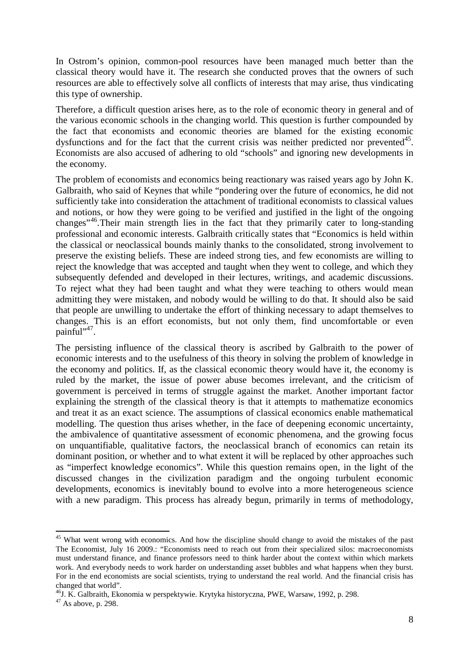In Ostrom's opinion, common-pool resources have been managed much better than the classical theory would have it. The research she conducted proves that the owners of such resources are able to effectively solve all conflicts of interests that may arise, thus vindicating this type of ownership.

Therefore, a difficult question arises here, as to the role of economic theory in general and of the various economic schools in the changing world. This question is further compounded by the fact that economists and economic theories are blamed for the existing economic dysfunctions and for the fact that the current crisis was neither predicted nor prevented $45$ . Economists are also accused of adhering to old "schools" and ignoring new developments in the economy.

The problem of economists and economics being reactionary was raised years ago by John K. Galbraith, who said of Keynes that while "pondering over the future of economics, he did not sufficiently take into consideration the attachment of traditional economists to classical values and notions, or how they were going to be verified and justified in the light of the ongoing changes"<sup>46</sup>.Their main strength lies in the fact that they primarily cater to long-standing professional and economic interests. Galbraith critically states that "Economics is held within the classical or neoclassical bounds mainly thanks to the consolidated, strong involvement to preserve the existing beliefs. These are indeed strong ties, and few economists are willing to reject the knowledge that was accepted and taught when they went to college, and which they subsequently defended and developed in their lectures, writings, and academic discussions. To reject what they had been taught and what they were teaching to others would mean admitting they were mistaken, and nobody would be willing to do that. It should also be said that people are unwilling to undertake the effort of thinking necessary to adapt themselves to changes. This is an effort economists, but not only them, find uncomfortable or even painful".

The persisting influence of the classical theory is ascribed by Galbraith to the power of economic interests and to the usefulness of this theory in solving the problem of knowledge in the economy and politics. If, as the classical economic theory would have it, the economy is ruled by the market, the issue of power abuse becomes irrelevant, and the criticism of government is perceived in terms of struggle against the market. Another important factor explaining the strength of the classical theory is that it attempts to mathematize economics and treat it as an exact science. The assumptions of classical economics enable mathematical modelling. The question thus arises whether, in the face of deepening economic uncertainty, the ambivalence of quantitative assessment of economic phenomena, and the growing focus on unquantifiable, qualitative factors, the neoclassical branch of economics can retain its dominant position, or whether and to what extent it will be replaced by other approaches such as "imperfect knowledge economics". While this question remains open, in the light of the discussed changes in the civilization paradigm and the ongoing turbulent economic developments, economics is inevitably bound to evolve into a more heterogeneous science with a new paradigm. This process has already begun, primarily in terms of methodology,

 $\overline{\phantom{a}}$ 

<sup>&</sup>lt;sup>45</sup> What went wrong with economics. And how the discipline should change to avoid the mistakes of the past The Economist, July 16 2009.: "Economists need to reach out from their specialized silos: macroeconomists must understand finance, and finance professors need to think harder about the context within which markets work. And everybody needs to work harder on understanding asset bubbles and what happens when they burst. For in the end economists are social scientists, trying to understand the real world. And the financial crisis has changed that world".

<sup>46</sup>J. K. Galbraith, Ekonomia w perspektywie. Krytyka historyczna, PWE, Warsaw, 1992, p. 298.

 $47$  As above, p. 298.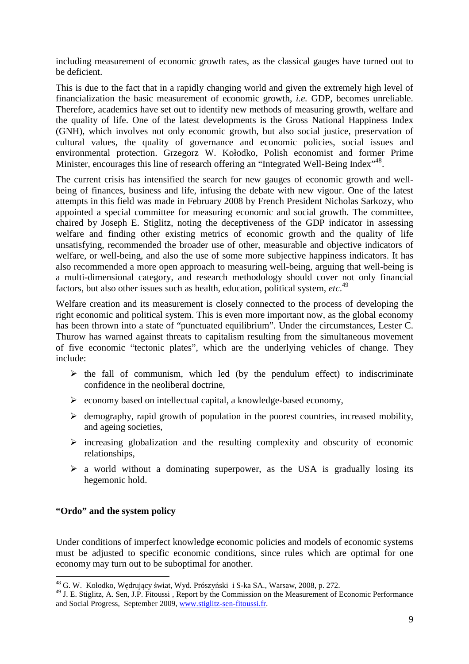including measurement of economic growth rates, as the classical gauges have turned out to be deficient.

This is due to the fact that in a rapidly changing world and given the extremely high level of financialization the basic measurement of economic growth, *i.e.* GDP, becomes unreliable. Therefore, academics have set out to identify new methods of measuring growth, welfare and the quality of life. One of the latest developments is the Gross National Happiness Index (GNH), which involves not only economic growth, but also social justice, preservation of cultural values, the quality of governance and economic policies, social issues and environmental protection. Grzegorz W. Kołodko, Polish economist and former Prime Minister, encourages this line of research offering an "Integrated Well-Being Index"<sup>48</sup>.

The current crisis has intensified the search for new gauges of economic growth and wellbeing of finances, business and life, infusing the debate with new vigour. One of the latest attempts in this field was made in February 2008 by French President Nicholas Sarkozy, who appointed a special committee for measuring economic and social growth. The committee, chaired by Joseph E. Stiglitz, noting the deceptiveness of the GDP indicator in assessing welfare and finding other existing metrics of economic growth and the quality of life unsatisfying, recommended the broader use of other, measurable and objective indicators of welfare, or well-being, and also the use of some more subjective happiness indicators. It has also recommended a more open approach to measuring well-being, arguing that well-being is a multi-dimensional category, and research methodology should cover not only financial factors, but also other issues such as health, education, political system, *etc*. 49

Welfare creation and its measurement is closely connected to the process of developing the right economic and political system. This is even more important now, as the global economy has been thrown into a state of "punctuated equilibrium". Under the circumstances, Lester C. Thurow has warned against threats to capitalism resulting from the simultaneous movement of five economic "tectonic plates", which are the underlying vehicles of change. They include:

- $\triangleright$  the fall of communism, which led (by the pendulum effect) to indiscriminate confidence in the neoliberal doctrine,
- $\triangleright$  economy based on intellectual capital, a knowledge-based economy,
- $\triangleright$  demography, rapid growth of population in the poorest countries, increased mobility, and ageing societies,
- $\triangleright$  increasing globalization and the resulting complexity and obscurity of economic relationships,
- $\triangleright$  a world without a dominating superpower, as the USA is gradually losing its hegemonic hold.

# **"Ordo" and the system policy**

l

Under conditions of imperfect knowledge economic policies and models of economic systems must be adjusted to specific economic conditions, since rules which are optimal for one economy may turn out to be suboptimal for another.

<sup>&</sup>lt;sup>48</sup> G. W. Kołodko, Wędrujący świat, Wyd. Prószyński i S-ka SA., Warsaw, 2008, p. 272.

<sup>&</sup>lt;sup>49</sup> J. E. Stiglitz, A. Sen, J.P. Fitoussi, Report by the Commission on the Measurement of Economic Performance and Social Progress, September 2009, www.stiglitz-sen-fitoussi.fr.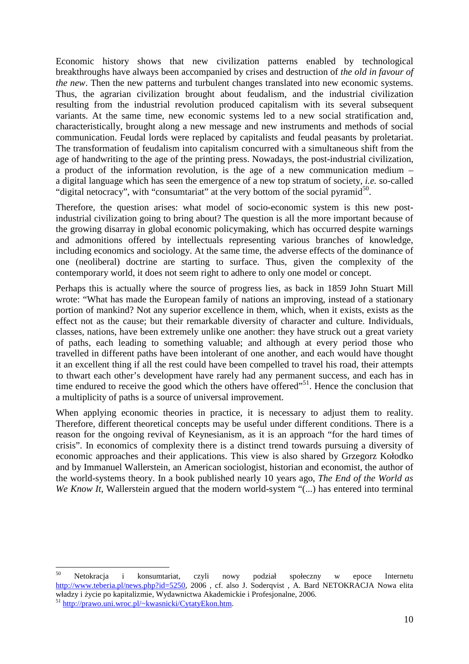Economic history shows that new civilization patterns enabled by technological breakthroughs have always been accompanied by crises and destruction of *the old in favour of the new*. Then the new patterns and turbulent changes translated into new economic systems. Thus, the agrarian civilization brought about feudalism, and the industrial civilization resulting from the industrial revolution produced capitalism with its several subsequent variants. At the same time, new economic systems led to a new social stratification and, characteristically, brought along a new message and new instruments and methods of social communication. Feudal lords were replaced by capitalists and feudal peasants by proletariat. The transformation of feudalism into capitalism concurred with a simultaneous shift from the age of handwriting to the age of the printing press. Nowadays, the post-industrial civilization, a product of the information revolution, is the age of a new communication medium – a digital language which has seen the emergence of a new top stratum of society, *i.e.* so-called "digital netocracy", with "consumtariat" at the very bottom of the social pyramid<sup>50</sup>.

Therefore, the question arises: what model of socio-economic system is this new postindustrial civilization going to bring about? The question is all the more important because of the growing disarray in global economic policymaking, which has occurred despite warnings and admonitions offered by intellectuals representing various branches of knowledge, including economics and sociology. At the same time, the adverse effects of the dominance of one (neoliberal) doctrine are starting to surface. Thus, given the complexity of the contemporary world, it does not seem right to adhere to only one model or concept.

Perhaps this is actually where the source of progress lies, as back in 1859 John Stuart Mill wrote: "What has made the European family of nations an improving, instead of a stationary portion of mankind? Not any superior excellence in them, which, when it exists, exists as the effect not as the cause; but their remarkable diversity of character and culture. Individuals, classes, nations, have been extremely unlike one another: they have struck out a great variety of paths, each leading to something valuable; and although at every period those who travelled in different paths have been intolerant of one another, and each would have thought it an excellent thing if all the rest could have been compelled to travel his road, their attempts to thwart each other's development have rarely had any permanent success, and each has in time endured to receive the good which the others have offered $^{51}$ . Hence the conclusion that a multiplicity of paths is a source of universal improvement.

When applying economic theories in practice, it is necessary to adjust them to reality. Therefore, different theoretical concepts may be useful under different conditions. There is a reason for the ongoing revival of Keynesianism, as it is an approach "for the hard times of crisis". In economics of complexity there is a distinct trend towards pursuing a diversity of economic approaches and their applications. This view is also shared by Grzegorz Kołodko and by Immanuel Wallerstein, an American sociologist, historian and economist, the author of the world-systems theory. In a book published nearly 10 years ago, *The End of the World as We Know It*, Wallerstein argued that the modern world-system "(...) has entered into terminal

<sup>50</sup> <sup>50</sup> Netokracja i konsumtariat, czyli nowy podział społeczny w epoce Internetu http://www.teberia.pl/news.php?id=5250, 2006 , cf. also J. Soderqvist , A. Bard NETOKRACJA Nowa elita władzy i życie po kapitalizmie, Wydawnictwa Akademickie i Profesjonalne, 2006.

<sup>51</sup> http://prawo.uni.wroc.pl/~kwasnicki/CytatyEkon.htm.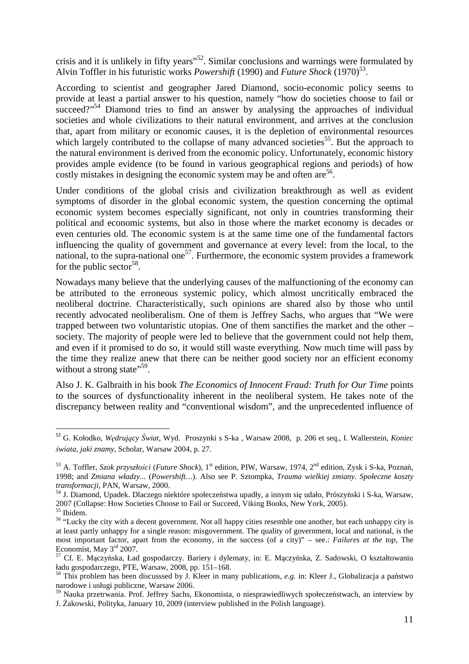crisis and it is unlikely in fifty years"<sup>52</sup>. Similar conclusions and warnings were formulated by Alvin Toffler in his futuristic works *Powershift* (1990) and *Future Shock* (1970)<sup>53</sup>.

According to scientist and geographer Jared Diamond, socio-economic policy seems to provide at least a partial answer to his question, namely "how do societies choose to fail or succeed?"<sup>54</sup> Diamond tries to find an answer by analysing the approaches of individual societies and whole civilizations to their natural environment, and arrives at the conclusion that, apart from military or economic causes, it is the depletion of environmental resources which largely contributed to the collapse of many advanced societies<sup>55</sup>. But the approach to the natural environment is derived from the economic policy. Unfortunately, economic history provides ample evidence (to be found in various geographical regions and periods) of how costly mistakes in designing the economic system may be and often are  $56$ .

Under conditions of the global crisis and civilization breakthrough as well as evident symptoms of disorder in the global economic system, the question concerning the optimal economic system becomes especially significant, not only in countries transforming their political and economic systems, but also in those where the market economy is decades or even centuries old. The economic system is at the same time one of the fundamental factors influencing the quality of government and governance at every level: from the local, to the national, to the supra-national one<sup>57</sup>. Furthermore, the economic system provides a framework for the public sector<sup>58</sup>.

Nowadays many believe that the underlying causes of the malfunctioning of the economy can be attributed to the erroneous systemic policy, which almost uncritically embraced the neoliberal doctrine. Characteristically, such opinions are shared also by those who until recently advocated neoliberalism. One of them is Jeffrey Sachs, who argues that "We were trapped between two voluntaristic utopias. One of them sanctifies the market and the other – society. The majority of people were led to believe that the government could not help them, and even if it promised to do so, it would still waste everything. Now much time will pass by the time they realize anew that there can be neither good society nor an efficient economy without a strong state"<sup>59</sup>.

Also J. K. Galbraith in his book *The Economics of Innocent Fraud: Truth for Our Time* points to the sources of dysfunctionality inherent in the neoliberal system. He takes note of the discrepancy between reality and "conventional wisdom", and the unprecedented influence of

<sup>52</sup> G. Kołodko, *Wędrujący Świat*, Wyd. Proszynki s S-ka , Warsaw 2008, p. 206 et seq., I. Wallerstein, *Koniec świata, jaki znamy*, Scholar, Warsaw 2004, p. 27.

<sup>53</sup> A. Toffler, *Szok przyszłości* (*Future Shock*), 1st edition, PIW, Warsaw, 1974, 2nd edition, Zysk i S-ka, Poznań, 1998; and *Zmiana władzy...* (*Powershift…*). Also see P. Sztompka, *Trauma wielkiej zmiany. Społeczne koszty transformacji*, PAN, Warsaw, 2000.

<sup>54</sup> J. Diamond, Upadek. Dlaczego niektóre społeczeństwa upadły, a innym się udało, Prószyński i S-ka, Warsaw, 2007 (Collapse: How Societies Choose to Fail or Succeed, Viking Books, New York, 2005). <sup>55</sup> Ibidem.

<sup>&</sup>lt;sup>56</sup> "Lucky the city with a decent government. Not all happy cities resemble one another, but each unhappy city is at least partly unhappy for a single reason: misgovernment. The quality of government, local and national, is the most important factor, apart from the economy, in the success (of a city)" – see.: *Failures at the top*, The Economist, May 3<sup>rd</sup> 2007.

<sup>57</sup> Cf. E. Mączyńska, Ład gospodarczy. Bariery i dylematy, in: E. Mączyńska, Z. Sadowski, O kształtowaniu ładu gospodarczego, PTE, Warsaw, 2008, pp. 151–168.

<sup>58</sup> This problem has been discusssed by J. Kleer in many publications, *e.g.* in: Kleer J., Globalizacja a państwo narodowe i usługi publiczne, Warsaw 2006.

<sup>59</sup> Nauka przetrwania. Prof. Jeffrey Sachs, Ekonomista, o niesprawiedliwych społeczeństwach, an interview by J. Żakowski, Polityka, January 10, 2009 (interview published in the Polish language).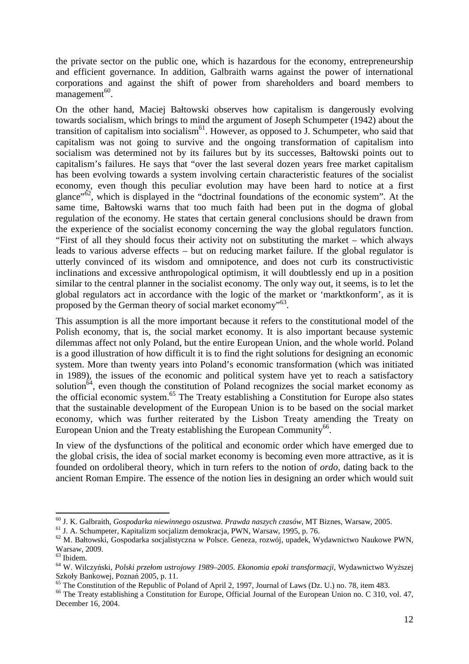the private sector on the public one, which is hazardous for the economy, entrepreneurship and efficient governance. In addition, Galbraith warns against the power of international corporations and against the shift of power from shareholders and board members to  $m$ anagement<sup>60</sup>.

On the other hand, Maciej Bałtowski observes how capitalism is dangerously evolving towards socialism, which brings to mind the argument of Joseph Schumpeter (1942) about the transition of capitalism into socialism<sup>61</sup>. However, as opposed to J. Schumpeter, who said that capitalism was not going to survive and the ongoing transformation of capitalism into socialism was determined not by its failures but by its successes, Bałtowski points out to capitalism's failures. He says that "over the last several dozen years free market capitalism has been evolving towards a system involving certain characteristic features of the socialist economy, even though this peculiar evolution may have been hard to notice at a first glance" $\delta^2$ , which is displayed in the "doctrinal foundations of the economic system". At the same time, Bałtowski warns that too much faith had been put in the dogma of global regulation of the economy. He states that certain general conclusions should be drawn from the experience of the socialist economy concerning the way the global regulators function. "First of all they should focus their activity not on substituting the market – which always leads to various adverse effects – but on reducing market failure. If the global regulator is utterly convinced of its wisdom and omnipotence, and does not curb its constructivistic inclinations and excessive anthropological optimism, it will doubtlessly end up in a position similar to the central planner in the socialist economy. The only way out, it seems, is to let the global regulators act in accordance with the logic of the market or 'marktkonform', as it is proposed by the German theory of social market economy"<sup>63</sup>.

This assumption is all the more important because it refers to the constitutional model of the Polish economy, that is, the social market economy. It is also important because systemic dilemmas affect not only Poland, but the entire European Union, and the whole world. Poland is a good illustration of how difficult it is to find the right solutions for designing an economic system. More than twenty years into Poland's economic transformation (which was initiated in 1989), the issues of the economic and political system have yet to reach a satisfactory solution<sup>64</sup>, even though the constitution of Poland recognizes the social market economy as the official economic system.<sup>65</sup> The Treaty establishing a Constitution for Europe also states that the sustainable development of the European Union is to be based on the social market economy, which was further reiterated by the Lisbon Treaty amending the Treaty on European Union and the Treaty establishing the European Community<sup>66</sup>.

In view of the dysfunctions of the political and economic order which have emerged due to the global crisis, the idea of social market economy is becoming even more attractive, as it is founded on ordoliberal theory, which in turn refers to the notion of *ordo*, dating back to the ancient Roman Empire. The essence of the notion lies in designing an order which would suit

<sup>60</sup> J. K. Galbraith, *Gospodarka niewinnego oszustwa. Prawda naszych czasów*, MT Biznes, Warsaw, 2005.

<sup>61</sup> J. A. Schumpeter, Kapitalizm socjalizm demokracja, PWN, Warsaw, 1995, p. 76.

<sup>62</sup> M. Bałtowski, Gospodarka socjalistyczna w Polsce. Geneza, rozwój, upadek, Wydawnictwo Naukowe PWN, Warsaw, 2009.

<sup>63</sup> Ibidem.

<sup>64</sup> W. Wilczyński, *Polski przełom ustrojowy 1989–2005. Ekonomia epoki transformacji*, Wydawnictwo Wyższej Szkoły Bankowej, Poznań 2005, p. 11.

 $65$  The Constitution of the Republic of Poland of April 2, 1997, Journal of Laws (Dz. U.) no. 78, item 483.

<sup>&</sup>lt;sup>66</sup> The Treaty establishing a Constitution for Europe, Official Journal of the European Union no. C 310, vol. 47, December 16, 2004.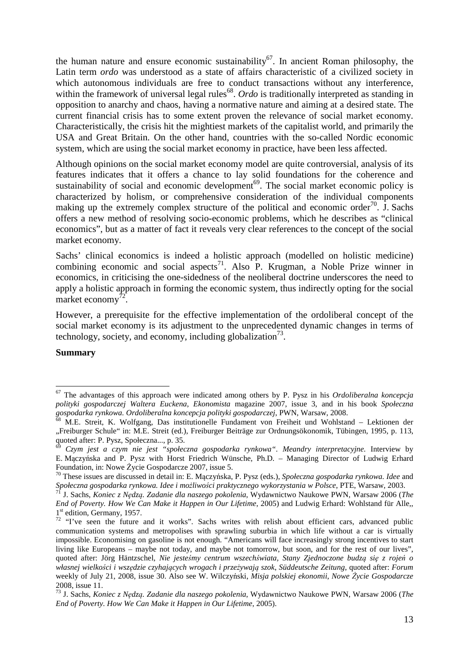the human nature and ensure economic sustainability<sup>67</sup>. In ancient Roman philosophy, the Latin term *ordo* was understood as a state of affairs characteristic of a civilized society in which autonomous individuals are free to conduct transactions without any interference, within the framework of universal legal rules<sup>68</sup>. Ordo is traditionally interpreted as standing in opposition to anarchy and chaos, having a normative nature and aiming at a desired state. The current financial crisis has to some extent proven the relevance of social market economy. Characteristically, the crisis hit the mightiest markets of the capitalist world, and primarily the USA and Great Britain. On the other hand, countries with the so-called Nordic economic system, which are using the social market economy in practice, have been less affected.

Although opinions on the social market economy model are quite controversial, analysis of its features indicates that it offers a chance to lay solid foundations for the coherence and sustainability of social and economic development<sup>69</sup>. The social market economic policy is characterized by holism, or comprehensive consideration of the individual components making up the extremely complex structure of the political and economic order<sup>70</sup>. J. Sachs offers a new method of resolving socio-economic problems, which he describes as "clinical economics", but as a matter of fact it reveals very clear references to the concept of the social market economy.

Sachs' clinical economics is indeed a holistic approach (modelled on holistic medicine) combining economic and social aspects<sup>71</sup>. Also P. Krugman, a Noble Prize winner in economics, in criticising the one-sidedness of the neoliberal doctrine underscores the need to apply a holistic approach in forming the economic system, thus indirectly opting for the social market economy $\sqrt{2}$ .

However, a prerequisite for the effective implementation of the ordoliberal concept of the social market economy is its adjustment to the unprecedented dynamic changes in terms of technology, society, and economy, including globalization<sup>73</sup>.

#### **Summary**

<sup>67</sup> The advantages of this approach were indicated among others by P. Pysz in his *Ordoliberalna koncepcja polityki gospodarczej Waltera Euckena*, *Ekonomista* magazine 2007, issue 3, and in his book *Społeczna gospodarka rynkowa. Ordoliberalna koncepcja polityki gospodarczej*, PWN, Warsaw, 2008.

 $8^8$  M.E. Streit, K. Wolfgang, Das institutionelle Fundament von Freiheit und Wohlstand – Lektionen der "Freiburger Schule" in: M.E. Streit (ed.), Freiburger Beiträge zur Ordnungsökonomik, Tübingen, 1995, p. 113, quoted after: P. Pysz, Społeczna..., p. 35.

<sup>69</sup> *Czym jest a czym nie jest "społeczna gospodarka rynkowa". Meandry interpretacyjne.* Interview by E. Mączyńska and P. Pysz with Horst Friedrich Wünsche, Ph.D*.* – Managing Director of Ludwig Erhard Foundation, in: Nowe Życie Gospodarcze 2007, issue 5.

<sup>70</sup> These issues are discussed in detail in: E. Mączyńska, P. Pysz (eds.), *Społeczna gospodarka rynkowa. Idee* and *Społeczna gospodarka rynkowa. Idee i możliwości praktycznego wykorzystania w Polsce*, PTE, Warsaw, 2003.

<sup>71</sup> J. Sachs, *Koniec z Nędzą. Zadanie dla naszego pokolenia*, Wydawnictwo Naukowe PWN, Warsaw 2006 (*The End of Poverty. How We Can Make it Happen in Our Lifetime*, 2005) and Ludwig Erhard: Wohlstand für Alle,, 1<sup>st</sup> edition, Germany, 1957.

<sup>&</sup>lt;sup>72</sup> "I've seen the future and it works". Sachs writes with relish about efficient cars, advanced public communication systems and metropolises with sprawling suburbia in which life without a car is virtually impossible. Economising on gasoline is not enough. "Americans will face increasingly strong incentives to start living like Europeans – maybe not today, and maybe not tomorrow, but soon, and for the rest of our lives", quoted after: Jörg Häntzschel, *Nie jesteśmy centrum wszechświata, Stany Zjednoczone budzą się z rojeń o własnej wielkości i wszędzie czyhających wrogach i przeżywają szok*, *Süddeutsche Zeitung*, quoted after: *Forum* weekly of July 21, 2008, issue 30. Also see W. Wilczyński, *Misja polskiej ekonomii*, *Nowe Życie Gospodarcze* 2008, issue 11.

<sup>73</sup> J. Sachs, *Koniec z Nędzą. Zadanie dla naszego pokolenia*, Wydawnictwo Naukowe PWN, Warsaw 2006 (*The End of Poverty. How We Can Make it Happen in Our Lifetime*, 2005).